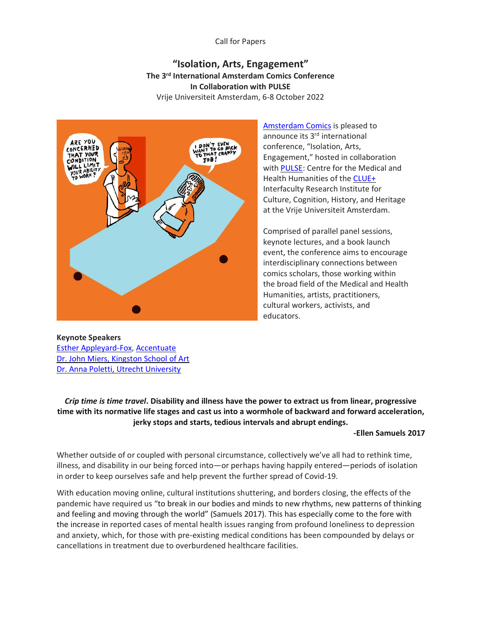### Call for Papers

# **"Isolation, Arts, Engagement" The 3rd International Amsterdam Comics Conference In Collaboration with PULSE** Vrije Universiteit Amsterdam, 6-8 October 2022



[Amsterdam Comics](http://amsterdamcomics.com/) is pleased to announce its 3rd international conference, "Isolation, Arts, Engagement," hosted in collaboration wit[h PULSE:](http://www.pulsenetwork.nl/) Centre for the Medical and Health Humanities of the [CLUE+](https://vu.nl/en/about-vu/research-institutes/clue) Interfaculty Research Institute for Culture, Cognition, History, and Heritage at the Vrije Universiteit Amsterdam.

Comprised of parallel panel sessions, keynote lectures, and a book launch event, the conference aims to encourage interdisciplinary connections between comics scholars, those working within the broad field of the Medical and Health Humanities, artists, practitioners, cultural workers, activists, and educators.

**Keynote Speakers** [Esther Appleyard-Fox,](https://appleyardfoxart.com/about) [Accentuate](https://screensouth.org/accentuate/) [Dr. John Miers, Kingston School of Art](https://johnmiers.com/) [Dr. Anna Poletti, Utrecht University](https://www.uu.nl/medewerkers/ALPoletti)

*Crip time is time travel***. Disability and illness have the power to extract us from linear, progressive time with its normative life stages and cast us into a wormhole of backward and forward acceleration, jerky stops and starts, tedious intervals and abrupt endings.**

#### **-Ellen Samuels 2017**

Whether outside of or coupled with personal circumstance, collectively we've all had to rethink time, illness, and disability in our being forced into—or perhaps having happily entered—periods of isolation in order to keep ourselves safe and help prevent the further spread of Covid-19.

With education moving online, cultural institutions shuttering, and borders closing, the effects of the pandemic have required us "to break in our bodies and minds to new rhythms, new patterns of thinking and feeling and moving through the world" (Samuels 2017). This has especially come to the fore with the increase in reported cases of mental health issues ranging from profound loneliness to depression and anxiety, which, for those with pre-existing medical conditions has been compounded by delays or cancellations in treatment due to overburdened healthcare facilities.